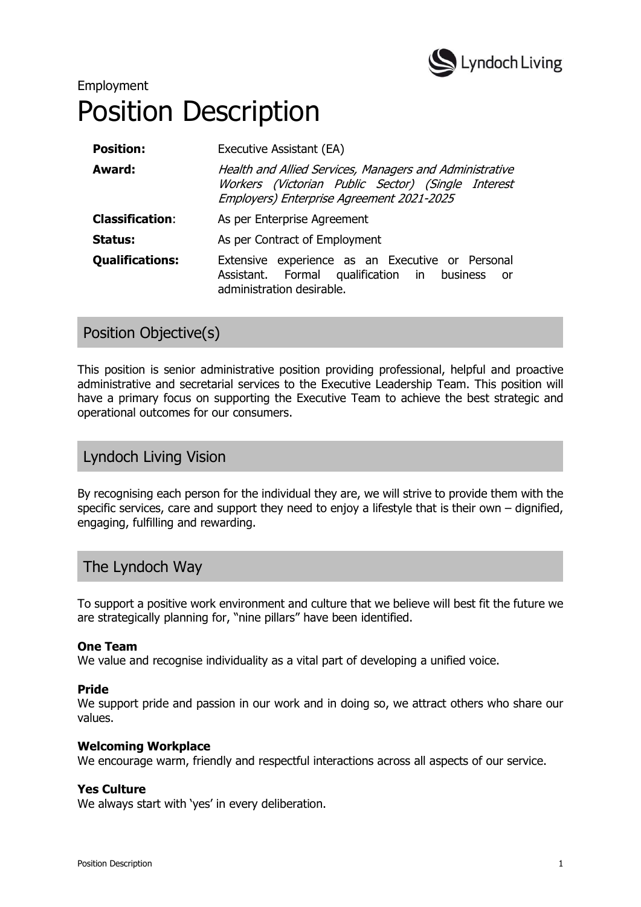

# Employment Position Description

| <b>Position:</b>       | Executive Assistant (EA)                                                                                                                                   |  |  |  |  |
|------------------------|------------------------------------------------------------------------------------------------------------------------------------------------------------|--|--|--|--|
| Award:                 | Health and Allied Services, Managers and Administrative<br>Workers (Victorian Public Sector) (Single Interest<br>Employers) Enterprise Agreement 2021-2025 |  |  |  |  |
| <b>Classification:</b> | As per Enterprise Agreement                                                                                                                                |  |  |  |  |
| Status:                | As per Contract of Employment                                                                                                                              |  |  |  |  |
| <b>Qualifications:</b> | Extensive experience as an Executive or Personal<br>Assistant. Formal qualification in business<br>- or<br>administration desirable.                       |  |  |  |  |

### Position Objective(s)

This position is senior administrative position providing professional, helpful and proactive administrative and secretarial services to the Executive Leadership Team. This position will have a primary focus on supporting the Executive Team to achieve the best strategic and operational outcomes for our consumers.

### Lyndoch Living Vision

By recognising each person for the individual they are, we will strive to provide them with the specific services, care and support they need to enjoy a lifestyle that is their own – dignified, engaging, fulfilling and rewarding.

# The Lyndoch Way

To support a positive work environment and culture that we believe will best fit the future we are strategically planning for, "nine pillars" have been identified.

#### One Team

We value and recognise individuality as a vital part of developing a unified voice.

#### Pride

We support pride and passion in our work and in doing so, we attract others who share our values.

#### Welcoming Workplace

We encourage warm, friendly and respectful interactions across all aspects of our service.

#### Yes Culture

We always start with 'yes' in every deliberation.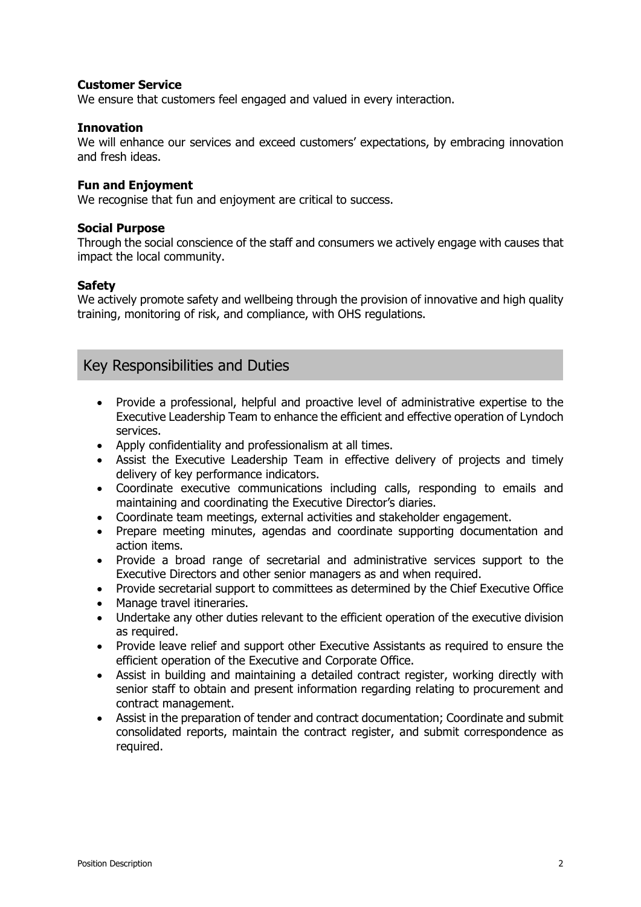#### Customer Service

We ensure that customers feel engaged and valued in every interaction.

#### Innovation

We will enhance our services and exceed customers' expectations, by embracing innovation and fresh ideas.

#### Fun and Enjoyment

We recognise that fun and enjoyment are critical to success.

#### Social Purpose

Through the social conscience of the staff and consumers we actively engage with causes that impact the local community.

#### **Safety**

We actively promote safety and wellbeing through the provision of innovative and high quality training, monitoring of risk, and compliance, with OHS regulations.

### Key Responsibilities and Duties

- Provide a professional, helpful and proactive level of administrative expertise to the Executive Leadership Team to enhance the efficient and effective operation of Lyndoch services.
- Apply confidentiality and professionalism at all times.
- Assist the Executive Leadership Team in effective delivery of projects and timely delivery of key performance indicators.
- Coordinate executive communications including calls, responding to emails and maintaining and coordinating the Executive Director's diaries.
- Coordinate team meetings, external activities and stakeholder engagement.
- Prepare meeting minutes, agendas and coordinate supporting documentation and action items.
- Provide a broad range of secretarial and administrative services support to the Executive Directors and other senior managers as and when required.
- Provide secretarial support to committees as determined by the Chief Executive Office
- Manage travel itineraries.
- Undertake any other duties relevant to the efficient operation of the executive division as required.
- Provide leave relief and support other Executive Assistants as required to ensure the efficient operation of the Executive and Corporate Office.
- Assist in building and maintaining a detailed contract register, working directly with senior staff to obtain and present information regarding relating to procurement and contract management.
- Assist in the preparation of tender and contract documentation; Coordinate and submit consolidated reports, maintain the contract register, and submit correspondence as required.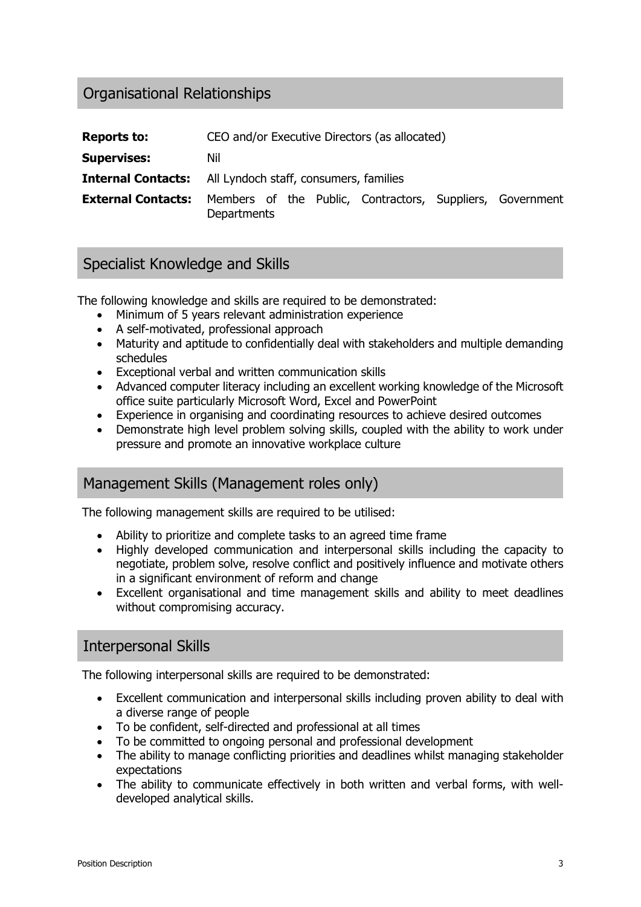# Organisational Relationships

| <b>Reports to:</b>                                               |             |  | CEO and/or Executive Directors (as allocated)             |  |
|------------------------------------------------------------------|-------------|--|-----------------------------------------------------------|--|
| <b>Supervises:</b>                                               | Nil         |  |                                                           |  |
| <b>Internal Contacts:</b> All Lyndoch staff, consumers, families |             |  |                                                           |  |
| <b>External Contacts:</b>                                        | Departments |  | Members of the Public, Contractors, Suppliers, Government |  |

# Specialist Knowledge and Skills

The following knowledge and skills are required to be demonstrated:

- Minimum of 5 years relevant administration experience
- A self-motivated, professional approach
- Maturity and aptitude to confidentially deal with stakeholders and multiple demanding schedules
- Exceptional verbal and written communication skills
- Advanced computer literacy including an excellent working knowledge of the Microsoft office suite particularly Microsoft Word, Excel and PowerPoint
- Experience in organising and coordinating resources to achieve desired outcomes
- Demonstrate high level problem solving skills, coupled with the ability to work under pressure and promote an innovative workplace culture

### Management Skills (Management roles only)

The following management skills are required to be utilised:

- Ability to prioritize and complete tasks to an agreed time frame
- Highly developed communication and interpersonal skills including the capacity to negotiate, problem solve, resolve conflict and positively influence and motivate others in a significant environment of reform and change
- Excellent organisational and time management skills and ability to meet deadlines without compromising accuracy.

### Interpersonal Skills

The following interpersonal skills are required to be demonstrated:

- Excellent communication and interpersonal skills including proven ability to deal with a diverse range of people
- To be confident, self-directed and professional at all times
- To be committed to ongoing personal and professional development
- The ability to manage conflicting priorities and deadlines whilst managing stakeholder expectations
- The ability to communicate effectively in both written and verbal forms, with welldeveloped analytical skills.